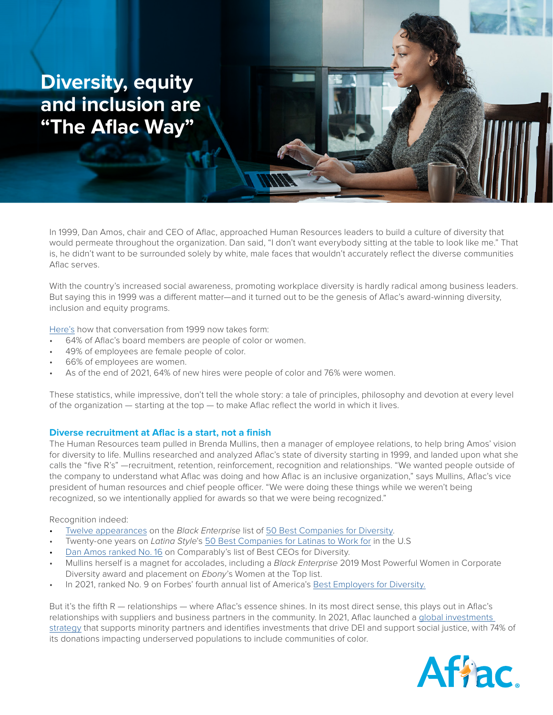# **Diversity, equity and inclusion are "The Aflac Way"**

In 1999, Dan Amos, chair and CEO of Aflac, approached Human Resources leaders to build a culture of diversity that would permeate throughout the organization. Dan said, "I don't want everybody sitting at the table to look like me." That is, he didn't want to be surrounded solely by white, male faces that wouldn't accurately reflect the diverse communities Aflac serves.

With the country's increased social awareness, promoting workplace diversity is hardly radical among business leaders. But saying this in 1999 was a different matter—and it turned out to be the genesis of Aflac's award-winning diversity, inclusion and equity programs.

[Here's](https://s24.q4cdn.com/367535798/files/doc_downloads/2021-Aflac-Incorporated-Bus.-and-Sust.-Report-3-17-22.pdf) how that conversation from 1999 now takes form:

- 64% of Aflac's board members are people of color or women.
- 49% of employees are female people of color.
- 66% of employees are women.
- As of the end of 2021, 64% of new hires were people of color and 76% were women.

These statistics, while impressive, don't tell the whole story: a tale of principles, philosophy and devotion at every level of the organization — starting at the top — to make Aflac reflect the world in which it lives.

## **Diverse recruitment at Aflac is a start, not a finish**

The Human Resources team pulled in Brenda Mullins, then a manager of employee relations, to help bring Amos' vision for diversity to life. Mullins researched and analyzed Aflac's state of diversity starting in 1999, and landed upon what she calls the "five R's" —recruitment, retention, reinforcement, recognition and relationships. "We wanted people outside of the company to understand what Aflac was doing and how Aflac is an inclusive organization," says Mullins, Aflac's vice president of human resources and chief people officer. "We were doing these things while we weren't being recognized, so we intentionally applied for awards so that we were being recognized."

#### Recognition indeed:

- [Twelve appearances](https://www.prnewswire.com/news-releases/black-enterprise-names-aflac-to-prestigious-diversity-list-300772785.html) on the *Black Enterprise* list of [50 Best Companies for Diversity.](https://www.blackenterprise.com/companiesdiversity2018/)
- Twenty-one years on *Latina Style*'s [50 Best Companies for Latinas to Work for](https://apnews.com/press-release/pr-newswire/workplace-diversity-race-and-ethnicity-business-corporate-news-north-america-c68143a91b7797548bed33db509b47df) in the U.S
- [Dan Amos ranked No. 16](https://www.aflac.com/individuals/what-we-do/accolades.aspx) on Comparably's list of Best CEOs for Diversity.
- Mullins herself is a magnet for accolades, including a *Black Enterprise* 2019 Most Powerful Women in Corporate Diversity award and placement on *Ebony*'s Women at the Top list.
- In 2021, ranked No. 9 on Forbes' fourth annual list of America's [Best Employers for Diversity](https://www.aflac.com/individuals/what-we-do/accolades.aspx).

But it's the fifth R — relationships — where Aflac's essence shines. In its most direct sense, this plays out in Aflac's relationships with suppliers and business partners in the community. In 2021, Aflac launched a [global investments](https://s24.q4cdn.com/367535798/files/doc_downloads/2021-Aflac-Incorporated-Bus.-and-Sust.-Report-3-17-22.pdf )  [strategy](https://s24.q4cdn.com/367535798/files/doc_downloads/2021-Aflac-Incorporated-Bus.-and-Sust.-Report-3-17-22.pdf ) that supports minority partners and identifies investments that drive DEI and support social justice, with 74% of its donations impacting underserved populations to include communities of color.